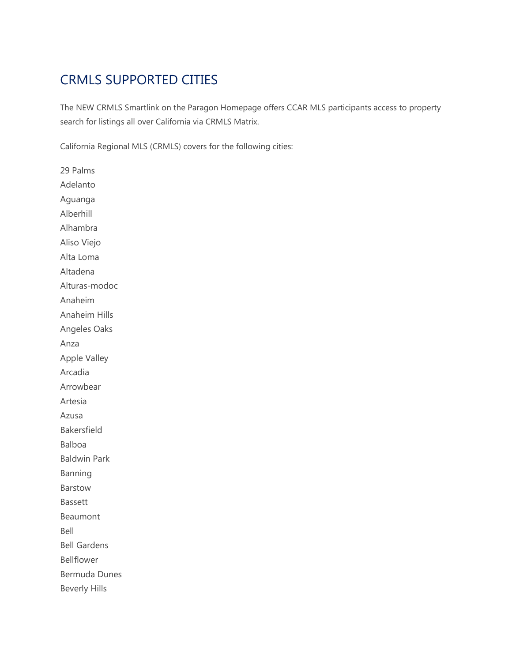## CRMLS SUPPORTED CITIES

The NEW CRMLS Smartlink on the Paragon Homepage offers CCAR MLS participants access to property search for listings all over California via CRMLS Matrix.

California Regional MLS (CRMLS) covers for the following cities:

29 Palms Adelanto Aguanga Alberhill Alhambra Aliso Viejo Alta Loma Altadena Alturas-modoc Anaheim Anaheim Hills Angeles Oaks Anza Apple Valley Arcadia Arrowbear Artesia Azusa Bakersfield Balboa Baldwin Park Banning Barstow Bassett Beaumont Bell Bell Gardens Bellflower Bermuda Dunes Beverly Hills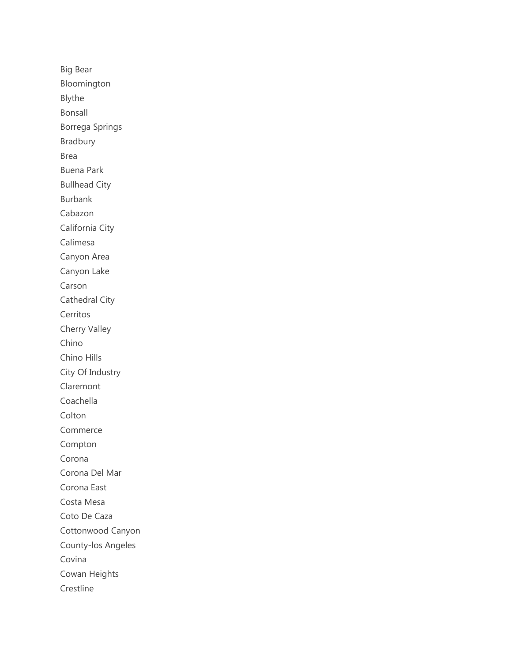Big Bear Bloomington Blythe Bonsall Borrega Springs Bradbury Brea Buena Park Bullhead City Burbank Cabazon California City Calimesa Canyon Area Canyon Lake Carson Cathedral City Cerritos Cherry Valley Chino Chino Hills City Of Industry Claremont Coachella Colton Commerce Compton Corona Corona Del Mar Corona East Costa Mesa Coto De Caza Cottonwood Canyon County-los Angeles Covina Cowan Heights Crestline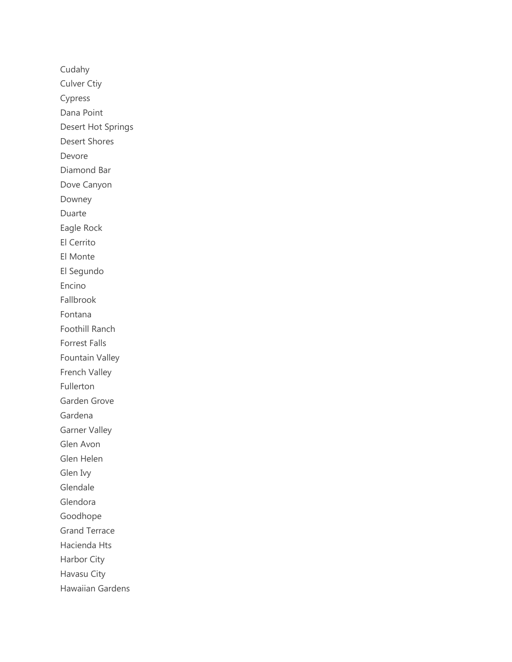Cudahy Culver Ctiy Cypress Dana Point Desert Hot Springs Desert Shores Devore Diamond Bar Dove Canyon Downey Duarte Eagle Rock El Cerrito El Monte El Segundo Encino Fallbrook Fontana Foothill Ranch Forrest Falls Fountain Valley French Valley Fullerton Garden Grove Gardena Garner Valley Glen Avon Glen Helen Glen Ivy Glendale Glendora Goodhope Grand Terrace Hacienda Hts Harbor City Havasu City Hawaiian Gardens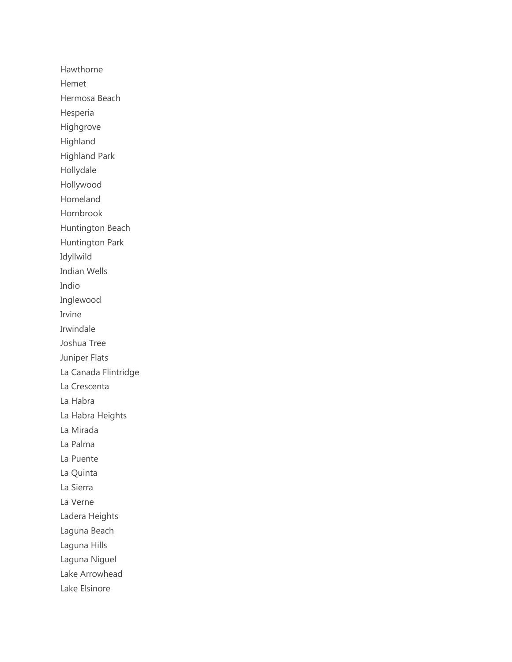Hawthorne Hemet Hermosa Beach Hesperia Highgrove Highland Highland Park Hollydale Hollywood Homeland Hornbrook Huntington Beach Huntington Park Idyllwild Indian Wells Indio Inglewood Irvine Irwindale Joshua Tree Juniper Flats La Canada Flintridge La Crescenta La Habra La Habra Heights La Mirada La Palma La Puente La Quinta La Sierra La Verne Ladera Heights Laguna Beach Laguna Hills Laguna Niguel Lake Arrowhead Lake Elsinore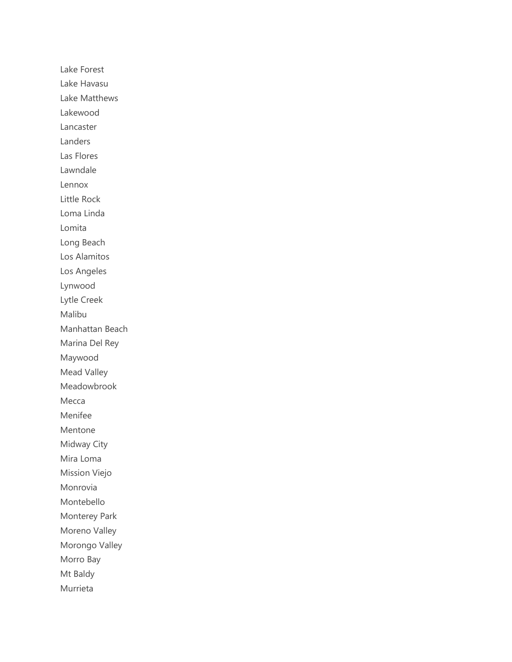Lake Forest Lake Havasu Lake Matthews Lakewood Lancaster Landers Las Flores Lawndale Lennox Little Rock Loma Linda Lomita Long Beach Los Alamitos Los Angeles Lynwood Lytle Creek Malibu Manhattan Beach Marina Del Rey Maywood Mead Valley Meadowbrook Mecca Menifee Mentone Midway City Mira Loma Mission Viejo Monrovia Montebello Monterey Park Moreno Valley Morongo Valley Morro Bay Mt Baldy Murrieta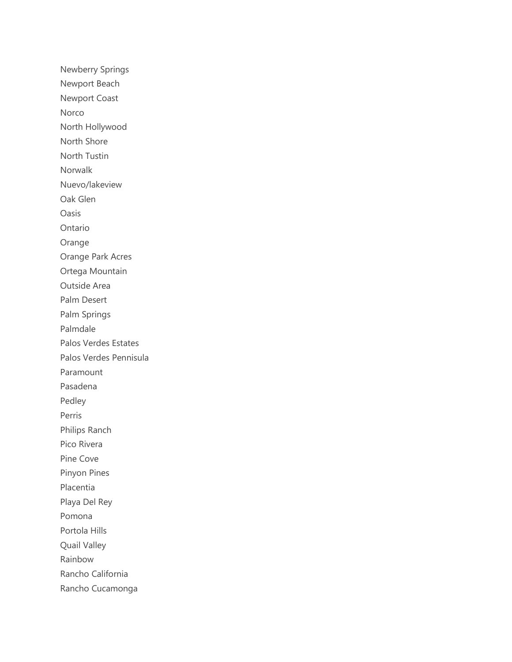Newberry Springs Newport Beach Newport Coast Norco North Hollywood North Shore North Tustin Norwalk Nuevo/lakeview Oak Glen Oasis Ontario Orange Orange Park Acres Ortega Mountain Outside Area Palm Desert Palm Springs Palmdale Palos Verdes Estates Palos Verdes Pennisula Paramount Pasadena Pedley Perris Philips Ranch Pico Rivera Pine Cove Pinyon Pines Placentia Playa Del Rey Pomona Portola Hills Quail Valley Rainbow Rancho California Rancho Cucamonga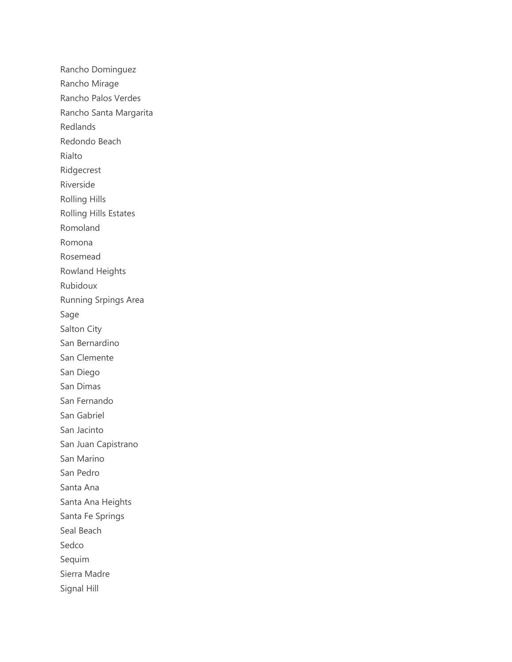Rancho Dominguez Rancho Mirage Rancho Palos Verdes Rancho Santa Margarita Redlands Redondo Beach Rialto Ridgecrest Riverside Rolling Hills Rolling Hills Estates Romoland Romona Rosemead Rowland Heights Rubidoux Running Srpings Area Sage Salton City San Bernardino San Clemente San Diego San Dimas San Fernando San Gabriel San Jacinto San Juan Capistrano San Marino San Pedro Santa Ana Santa Ana Heights Santa Fe Springs Seal Beach Sedco Sequim Sierra Madre Signal Hill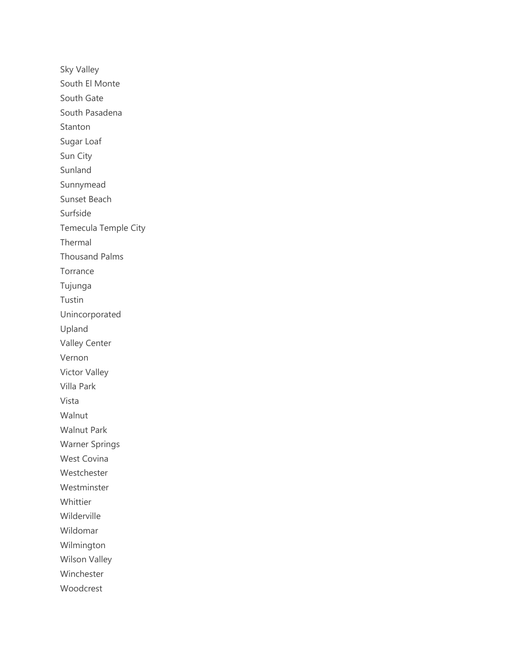Sky Valley South El Monte South Gate South Pasadena Stanton Sugar Loaf Sun City Sunland Sunnymead Sunset Beach Surfside Temecula Temple City Thermal Thousand Palms Torrance Tujunga Tustin Unincorporated Upland Valley Center Vernon Victor Valley Villa Park Vista Walnut Walnut Park Warner Springs West Covina Westchester Westminster Whittier Wilderville Wildomar Wilmington Wilson Valley Winchester Woodcrest